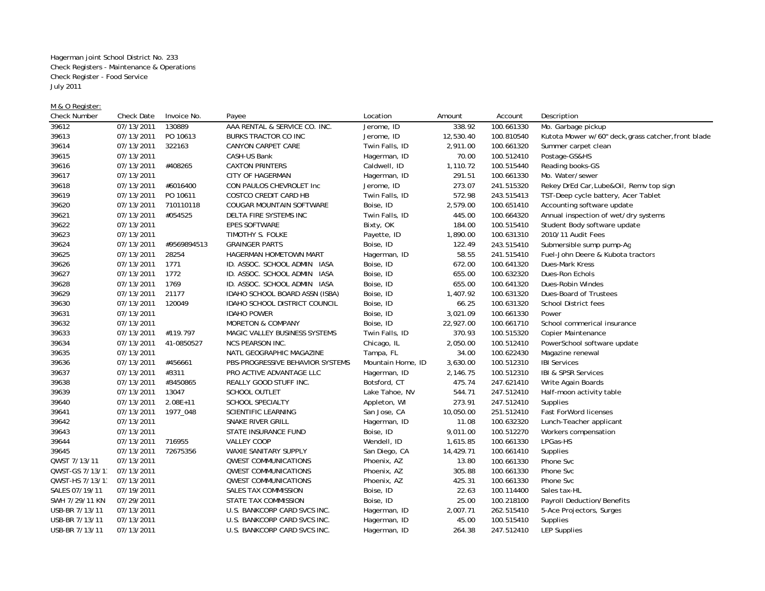Hagerman joint School District No. 233 Check Registers - Maintenance & Operations Check Register - Food Service July 2011

## M & O Register:

| <b>Check Number</b> | Check Date | Invoice No.  | Payee                            | Location          | Amount    | Account    | Description                                         |
|---------------------|------------|--------------|----------------------------------|-------------------|-----------|------------|-----------------------------------------------------|
| 39612               | 07/13/2011 | 130889       | AAA RENTAL & SERVICE CO. INC.    | Jerome, ID        | 338.92    | 100.661330 | Mo. Garbage pickup                                  |
| 39613               | 07/13/2011 | PO 10613     | BURKS TRACTOR CO INC             | Jerome, ID        | 12,530.40 | 100.810540 | Kutota Mower w/60" deck, grass catcher, front blade |
| 39614               | 07/13/2011 | 322163       | CANYON CARPET CARE               | Twin Falls, ID    | 2,911.00  | 100.661320 | Summer carpet clean                                 |
| 39615               | 07/13/2011 |              | CASH-US Bank                     | Hagerman, ID      | 70.00     | 100.512410 | Postage-GS&HS                                       |
| 39616               | 07/13/2011 | #408265      | <b>CAXTON PRINTERS</b>           | Caldwell, ID      | 1,110.72  | 100.515440 | Reading books-GS                                    |
| 39617               | 07/13/2011 |              | CITY OF HAGERMAN                 | Hagerman, ID      | 291.51    | 100.661330 | Mo. Water/sewer                                     |
| 39618               | 07/13/2011 | #6016400     | CON PAULOS CHEVROLET Inc         | Jerome, ID        | 273.07    | 241.515320 | Rekey DrEd Car, Lube&Oil, Remv top sign             |
| 39619               | 07/13/2011 | PO 10611     | COSTCO CREDIT CARD HB            | Twin Falls, ID    | 572.98    | 243.515413 | TST-Deep cycle battery, Acer Tablet                 |
| 39620               | 07/13/2011 | 710110118    | COUGAR MOUNTAIN SOFTWARE         | Boise, ID         | 2,579.00  | 100.651410 | Accounting software update                          |
| 39621               | 07/13/2011 | #054525      | DELTA FIRE SYSTEMS INC           | Twin Falls, ID    | 445.00    | 100.664320 | Annual inspection of wet/dry systems                |
| 39622               | 07/13/2011 |              | <b>EPES SOFTWARE</b>             | Bixty, OK         | 184.00    | 100.515410 | Student Body software update                        |
| 39623               | 07/13/2011 |              | TIMOTHY S. FOLKE                 | Payette, ID       | 1,890.00  | 100.631310 | 2010/11 Audit Fees                                  |
| 39624               | 07/13/2011 | #9569894513  | <b>GRAINGER PARTS</b>            | Boise, ID         | 122.49    | 243.515410 | Submersible sump pump-Ag                            |
| 39625               | 07/13/2011 | 28254        | HAGERMAN HOMETOWN MART           | Hagerman, ID      | 58.55     | 241.515410 | Fuel-John Deere & Kubota tractors                   |
| 39626               | 07/13/2011 | 1771         | ID. ASSOC. SCHOOL ADMIN IASA     | Boise, ID         | 672.00    | 100.641320 | Dues-Mark Kress                                     |
| 39627               | 07/13/2011 | 1772         | ID. ASSOC. SCHOOL ADMIN IASA     | Boise, ID         | 655.00    | 100.632320 | Dues-Ron Echols                                     |
| 39628               | 07/13/2011 | 1769         | ID. ASSOC. SCHOOL ADMIN IASA     | Boise, ID         | 655.00    | 100.641320 | Dues-Robin Windes                                   |
| 39629               | 07/13/2011 | 21177        | IDAHO SCHOOL BOARD ASSN (ISBA)   | Boise, ID         | 1,407.92  | 100.631320 | Dues-Board of Trustees                              |
| 39630               | 07/13/2011 | 120049       | IDAHO SCHOOL DISTRICT COUNCIL    | Boise, ID         | 66.25     | 100.631320 | <b>School District fees</b>                         |
| 39631               | 07/13/2011 |              | <b>IDAHO POWER</b>               | Boise, ID         | 3,021.09  | 100.661330 | Power                                               |
| 39632               | 07/13/2011 |              | MORETON & COMPANY                | Boise, ID         | 22,927.00 | 100.661710 | School commerical insurance                         |
| 39633               | 07/13/2011 | #119.797     | MAGIC VALLEY BUSINESS SYSTEMS    | Twin Falls, ID    | 370.93    | 100.515320 | Copier Maintenance                                  |
| 39634               | 07/13/2011 | 41-0850527   | <b>NCS PEARSON INC.</b>          | Chicago, IL       | 2,050.00  | 100.512410 | PowerSchool software update                         |
| 39635               | 07/13/2011 |              | NATL GEOGRAPHIC MAGAZINE         | Tampa, FL         | 34.00     | 100.622430 | Magazine renewal                                    |
| 39636               | 07/13/2011 | #456661      | PBS-PROGRESSIVE BEHAVIOR SYSTEMS | Mountain Home, ID | 3,630.00  | 100.512310 | <b>IBI Services</b>                                 |
| 39637               | 07/13/2011 | #3311        | PRO ACTIVE ADVANTAGE LLC         | Hagerman, ID      | 2,146.75  | 100.512310 | IBI & SPSR Services                                 |
| 39638               | 07/13/2011 | #3450865     | REALLY GOOD STUFF INC.           | Botsford, CT      | 475.74    | 247.621410 | Write Again Boards                                  |
| 39639               | 07/13/2011 | 13047        | <b>SCHOOL OUTLET</b>             | Lake Tahoe, NV    | 544.71    | 247.512410 | Half-moon activity table                            |
| 39640               | 07/13/2011 | $2.08E + 11$ | <b>SCHOOL SPECIALTY</b>          | Appleton, WI      | 273.91    | 247.512410 | Supplies                                            |
| 39641               | 07/13/2011 | 1977_048     | SCIENTIFIC LEARNING              | San Jose, CA      | 10,050.00 | 251.512410 | <b>Fast ForWord licenses</b>                        |
| 39642               | 07/13/2011 |              | SNAKE RIVER GRILL                | Hagerman, ID      | 11.08     | 100.632320 | Lunch-Teacher applicant                             |
| 39643               | 07/13/2011 |              | STATE INSURANCE FUND             | Boise, ID         | 9,011.00  | 100.512270 | Workers compensation                                |
| 39644               | 07/13/2011 | 716955       | <b>VALLEY COOP</b>               | Wendell, ID       | 1,615.85  | 100.661330 | LPGas-HS                                            |
| 39645               | 07/13/2011 | 72675356     | <b>WAXIE SANITARY SUPPLY</b>     | San Diego, CA     | 14,429.71 | 100.661410 | Supplies                                            |
| QWST 7/13/11        | 07/13/2011 |              | <b>QWEST COMMUNICATIONS</b>      | Phoenix, AZ       | 13.80     | 100.661330 | Phone Svc                                           |
| QWST-GS 7/13/11     | 07/13/2011 |              | <b>QWEST COMMUNICATIONS</b>      | Phoenix, AZ       | 305.88    | 100.661330 | Phone Svc                                           |
| QWST-HS 7/13/11     | 07/13/2011 |              | <b>QWEST COMMUNICATIONS</b>      | Phoenix, AZ       | 425.31    | 100.661330 | Phone Svc                                           |
| SALES 07/19/11      | 07/19/2011 |              | SALES TAX COMMISSION             | Boise, ID         | 22.63     | 100.114400 | Sales tax-HL                                        |
| SWH 7/29/11 KN      | 07/29/2011 |              | STATE TAX COMMISSION             | Boise, ID         | 25.00     | 100.218100 | Payroll Deduction/Benefits                          |
| USB-BR 7/13/11      | 07/13/2011 |              | U.S. BANKCORP CARD SVCS INC.     | Hagerman, ID      | 2,007.71  | 262.515410 | 5-Ace Projectors, Surges                            |
| USB-BR 7/13/11      | 07/13/2011 |              | U.S. BANKCORP CARD SVCS INC.     | Hagerman, ID      | 45.00     | 100.515410 | Supplies                                            |
| USB-BR 7/13/11      | 07/13/2011 |              | U.S. BANKCORP CARD SVCS INC.     | Hagerman, ID      | 264.38    | 247.512410 | <b>LEP Supplies</b>                                 |
|                     |            |              |                                  |                   |           |            |                                                     |